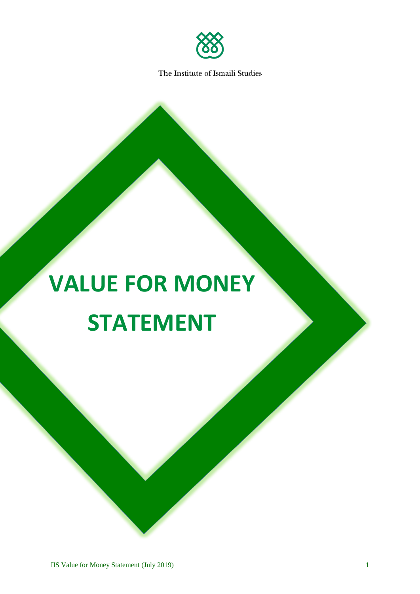

The Institute of Ismaili Studies

## **VALUE FOR MONEY STATEMENT**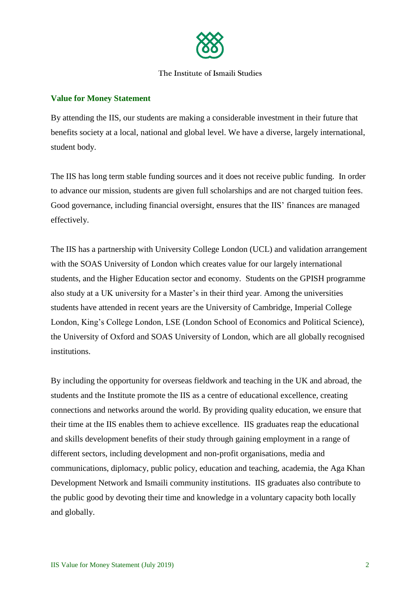

## The Institute of Ismaili Studies

## **Value for Money Statement**

By attending the IIS, our students are making a considerable investment in their future that benefits society at a local, national and global level. We have a diverse, largely international, student body.

The IIS has long term stable funding sources and it does not receive public funding. In order to advance our mission, students are given full scholarships and are not charged tuition fees. Good governance, including financial oversight, ensures that the IIS' finances are managed effectively.

The IIS has a partnership with University College London (UCL) and validation arrangement with the SOAS University of London which creates value for our largely international students, and the Higher Education sector and economy. Students on the GPISH programme also study at a UK university for a Master's in their third year. Among the universities students have attended in recent years are the University of Cambridge, Imperial College London, King's College London, LSE (London School of Economics and Political Science), the University of Oxford and SOAS University of London, which are all globally recognised institutions.

By including the opportunity for overseas fieldwork and teaching in the UK and abroad, the students and the Institute promote the IIS as a centre of educational excellence, creating connections and networks around the world. By providing quality education, we ensure that their time at the IIS enables them to achieve excellence. IIS graduates reap the educational and skills development benefits of their study through gaining employment in a range of different sectors, including development and non-profit organisations, media and communications, diplomacy, public policy, education and teaching, academia, the Aga Khan Development Network and Ismaili community institutions. IIS graduates also contribute to the public good by devoting their time and knowledge in a voluntary capacity both locally and globally.